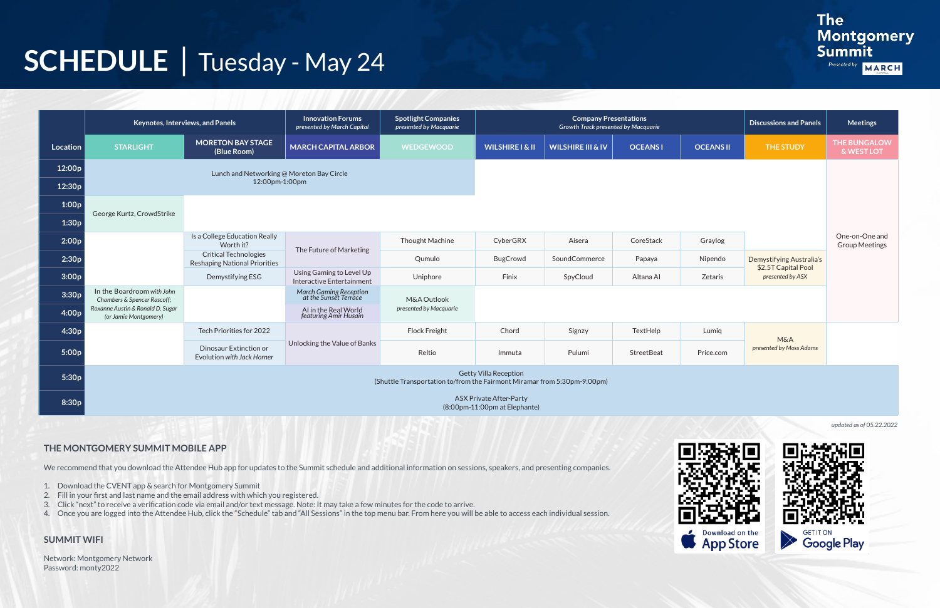## **SCHEDULE** | Tuesday - May 24

|                 | Keynotes, Interviews, and Panels                                                                         |                                                                      | <b>Innovation Forums</b><br>presented by March Capital | <b>Spotlight Companies</b><br>presented by Macquarie | <b>Company Presentations</b><br><b>Growth Track presented by Macquarie</b> |                              |                |                  | <b>Discussions and Panels</b>                   | <b>Meetings</b>                         |
|-----------------|----------------------------------------------------------------------------------------------------------|----------------------------------------------------------------------|--------------------------------------------------------|------------------------------------------------------|----------------------------------------------------------------------------|------------------------------|----------------|------------------|-------------------------------------------------|-----------------------------------------|
| <b>Location</b> | <b>STARLIGHT</b>                                                                                         | <b>MORETON BAY STAGE</b><br>(Blue Room)                              | <b>MARCH CAPITAL ARBOR</b>                             | <b>WEDGEWOOD</b>                                     | <b>WILSHIRE I &amp; II</b>                                                 | <b>WILSHIRE III &amp; IV</b> | <b>OCEANSI</b> | <b>OCEANS II</b> | <b>THE STUDY</b>                                | <b>THE BUNGALOW</b><br>& WEST LOT       |
| 12:00p          | Lunch and Networking @ Moreton Bay Circle                                                                |                                                                      |                                                        |                                                      |                                                                            |                              |                |                  |                                                 |                                         |
| 12:30p          |                                                                                                          | 12:00pm-1:00pm                                                       |                                                        |                                                      |                                                                            |                              |                |                  |                                                 |                                         |
| 1:00p           | George Kurtz, CrowdStrike                                                                                |                                                                      |                                                        |                                                      |                                                                            |                              |                |                  |                                                 |                                         |
| 1:30p           |                                                                                                          |                                                                      |                                                        |                                                      |                                                                            |                              |                |                  |                                                 |                                         |
| 2:00p           |                                                                                                          | Is a College Education Really<br>Worth it?                           | The Future of Marketing                                | Thought Machine                                      | CyberGRX                                                                   | Aisera                       | CoreStack      | Graylog          |                                                 | One-on-One and<br><b>Group Meetings</b> |
| 2:30p           |                                                                                                          | <b>Critical Technologies</b><br><b>Reshaping National Priorities</b> |                                                        | Qumulo                                               | <b>BugCrowd</b>                                                            | SoundCommerce                | Papaya         | Nipendo          | Demystifying Australia's<br>\$2.5T Capital Pool |                                         |
| 3:00p           |                                                                                                          | Demystifying ESG                                                     | Using Gaming to Level Up<br>Interactive Entertainment  | Uniphore                                             | Finix                                                                      | SpyCloud                     | Altana Al      | Zetaris          | presented by ASX                                |                                         |
| 3:30p           | In the Boardroom with John<br>Chambers & Spencer Rascoff;                                                |                                                                      | March Gaming Reception<br>at the Sunset Terrace        | M&A Outlook                                          |                                                                            |                              |                |                  |                                                 |                                         |
| 4:00p           | Roxanne Austin & Ronald D. Sugar<br>(or Jamie Montgomery)                                                |                                                                      | AI in the Real World<br>featuring Amir Husain          | presented by Macquarie                               |                                                                            |                              |                |                  |                                                 |                                         |
| 4:30p           |                                                                                                          | Tech Priorities for 2022                                             | Unlocking the Value of Banks                           | <b>Flock Freight</b>                                 | Chord                                                                      | Signzy                       | TextHelp       | Lumiq            | <b>M&amp;A</b><br>presented by Moss Adams       |                                         |
| 5:00p           |                                                                                                          | Dinosaur Extinction or<br>Evolution with Jack Horner                 |                                                        | Reltio                                               | Immuta                                                                     | Pulumi                       | StreetBeat     | Price.com        |                                                 |                                         |
| 5:30p           | <b>Getty Villa Reception</b><br>(Shuttle Transportation to/from the Fairmont Miramar from 5:30pm-9:00pm) |                                                                      |                                                        |                                                      |                                                                            |                              |                |                  |                                                 |                                         |
| 8:30p           |                                                                                                          |                                                                      |                                                        |                                                      | <b>ASX Private After-Party</b><br>(8:00pm-11:00pm at Elephante)            |                              |                |                  |                                                 |                                         |

*updated as of 05.22.2022*





### **THE MONTGOMERY SUMMIT MOBILE APP**

We recommend that you download the Attendee Hub app for updates to the Summit schedule and additional information on sessions, speakers, and presenting companies.

- 1. Download the CVENT app & search for Montgomery Summit
- 2. Fill in your first and last name and the email address with which you registered.
- 3. Click "next" to receive a verification code via email and/or text message. Note: It may take a few minutes for the code to arrive.
- 4. Once you are logged into the Attendee Hub, click the "Schedule" tab and "All Sessions" in the top menu bar. From here you will be able to access each individual session.

#### **SUMMIT WIFI**

Network: Montgomery Network Password: monty2022

$$
\frac{1}{2}
$$

### **The** Montgomery<br>Summit

Presented by

### MARCH